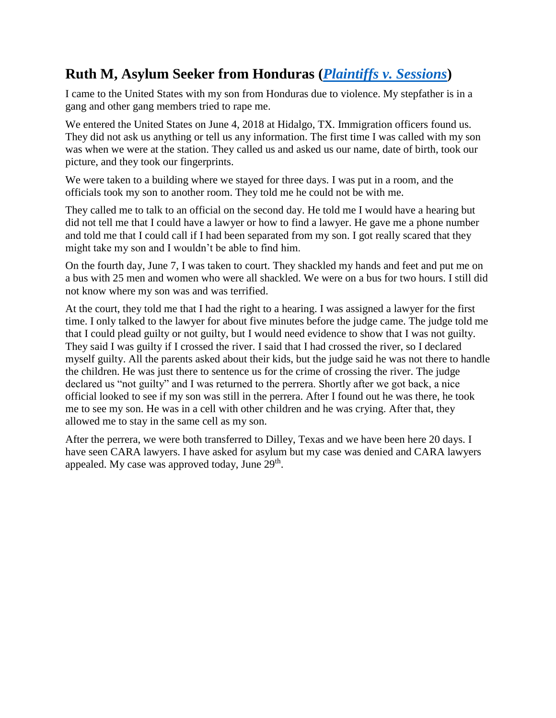## **Ruth M, Asylum Seeker from Honduras (***[Plaintiffs v. Sessions](https://assets.documentcloud.org/documents/4609538/Flores-0716-459-4.pdf)***)**

I came to the United States with my son from Honduras due to violence. My stepfather is in a gang and other gang members tried to rape me.

We entered the United States on June 4, 2018 at Hidalgo, TX. Immigration officers found us. They did not ask us anything or tell us any information. The first time I was called with my son was when we were at the station. They called us and asked us our name, date of birth, took our picture, and they took our fingerprints.

We were taken to a building where we stayed for three days. I was put in a room, and the officials took my son to another room. They told me he could not be with me.

They called me to talk to an official on the second day. He told me I would have a hearing but did not tell me that I could have a lawyer or how to find a lawyer. He gave me a phone number and told me that I could call if I had been separated from my son. I got really scared that they might take my son and I wouldn't be able to find him.

On the fourth day, June 7, I was taken to court. They shackled my hands and feet and put me on a bus with 25 men and women who were all shackled. We were on a bus for two hours. I still did not know where my son was and was terrified.

At the court, they told me that I had the right to a hearing. I was assigned a lawyer for the first time. I only talked to the lawyer for about five minutes before the judge came. The judge told me that I could plead guilty or not guilty, but I would need evidence to show that I was not guilty. They said I was guilty if I crossed the river. I said that I had crossed the river, so I declared myself guilty. All the parents asked about their kids, but the judge said he was not there to handle the children. He was just there to sentence us for the crime of crossing the river. The judge declared us "not guilty" and I was returned to the perrera. Shortly after we got back, a nice official looked to see if my son was still in the perrera. After I found out he was there, he took me to see my son. He was in a cell with other children and he was crying. After that, they allowed me to stay in the same cell as my son.

After the perrera, we were both transferred to Dilley, Texas and we have been here 20 days. I have seen CARA lawyers. I have asked for asylum but my case was denied and CARA lawyers appealed. My case was approved today, June  $29<sup>th</sup>$ .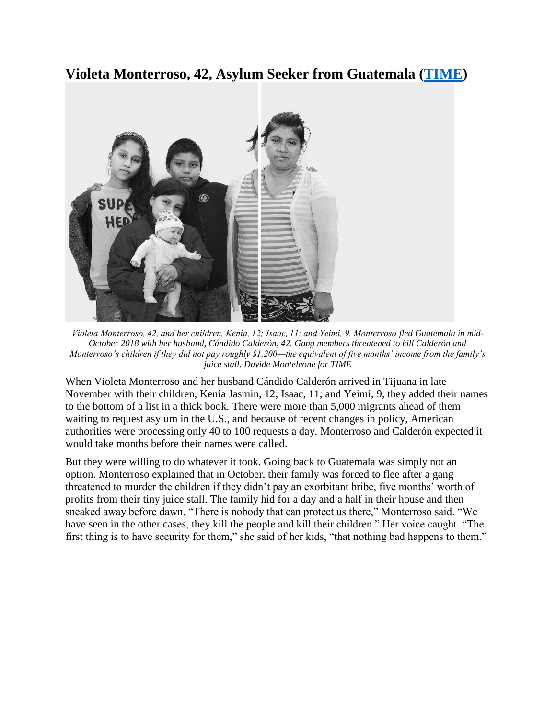## **Violeta Monterroso, 42, Asylum Seeker from Guatemala [\(TIME\)](http://time.com/longform/migrants/?utm_source=time.com&utm_medium=email&utm_campaign=the-brief-special-migrants&utm_content=2019012712pm&eminfo=%7b%22EMAIL%22%3a%22c8YxQ%2bM3atrFVwF%2bGYN5O84uYN6gd9r6%22%2c%22BRAND%22%3a%22TD%22%2c%22CONTENT%22%3a)**



*Violeta Monterroso, 42, and her children, Kenia, 12; Isaac, 11; and Yeimi, 9. Monterroso fled Guatemala in mid-October 2018 with her husband, Cándido Calderón, 42. Gang members threatened to kill Calderón and Monterroso's children if they did not pay roughly \$1,200—the equivalent of five months' income from the family's juice stall. Davide Monteleone for TIME*

When Violeta Monterroso and her husband Cándido Calderón arrived in Tijuana in late November with their children, Kenia Jasmin, 12; Isaac, 11; and Yeimi, 9, they added their names to the bottom of a list in a thick book. There were more than 5,000 migrants ahead of them waiting to request asylum in the U.S., and because of recent changes in policy, American authorities were processing only 40 to 100 requests a day. Monterroso and Calderón expected it would take months before their names were called.

But they were willing to do whatever it took. Going back to Guatemala was simply not an option. Monterroso explained that in October, their family was forced to flee after a gang threatened to murder the children if they didn't pay an exorbitant bribe, five months' worth of profits from their tiny juice stall. The family hid for a day and a half in their house and then sneaked away before dawn. "There is nobody that can protect us there," Monterroso said. "We have seen in the other cases, they kill the people and kill their children." Her voice caught. "The first thing is to have security for them," she said of her kids, "that nothing bad happens to them."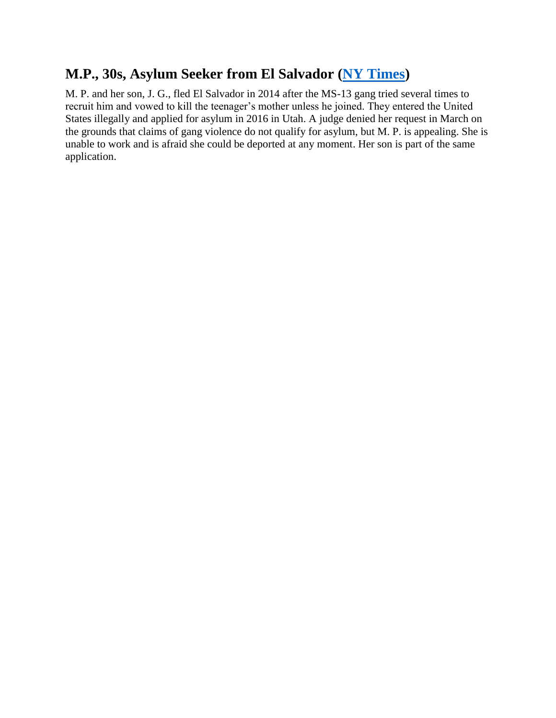## **M.P., 30s, Asylum Seeker from El Salvador [\(NY Times\)](https://www.nytimes.com/2018/05/02/us/what-it-takes-to-get-asylum-us.html)**

M. P. and her son, J. G., fled El Salvador in 2014 after the MS-13 gang tried several times to recruit him and vowed to kill the teenager's mother unless he joined. They entered the United States illegally and applied for asylum in 2016 in Utah. A judge denied her request in March on the grounds that claims of gang violence do not qualify for asylum, but M. P. is appealing. She is unable to work and is afraid she could be deported at any moment. Her son is part of the same application.